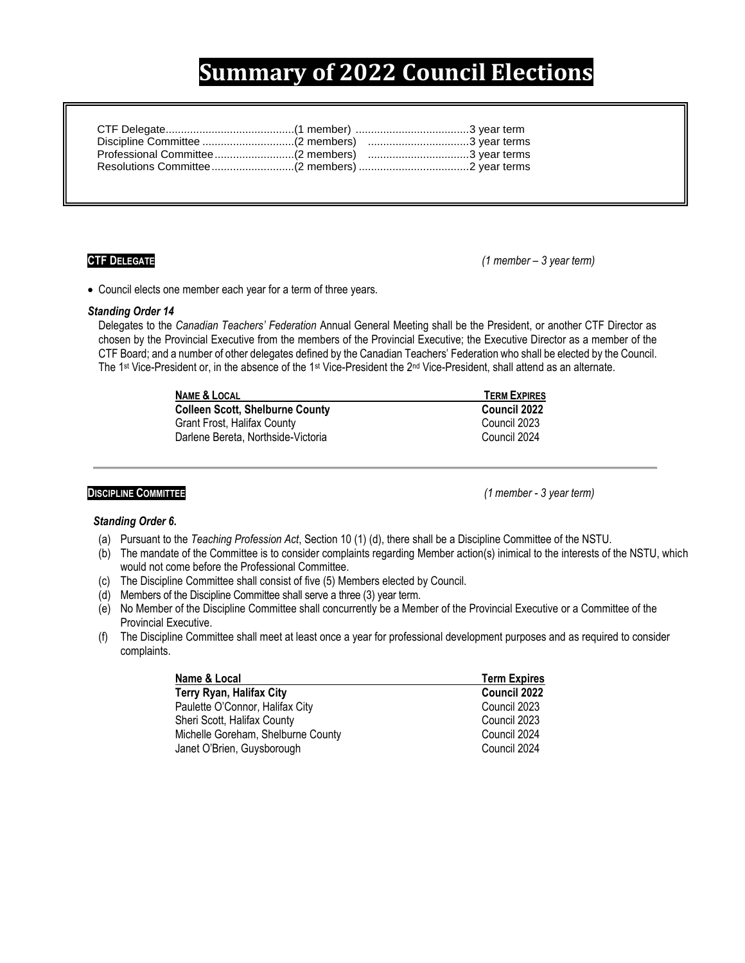# **Summary of 2022 Council Elections**

**CTF DELEGATE** *(1 member – 3 year term)*

Council elects one member each year for a term of three years.

# *Standing Order 14*

Delegates to the *Canadian Teachers' Federation* Annual General Meeting shall be the President, or another CTF Director as chosen by the Provincial Executive from the members of the Provincial Executive; the Executive Director as a member of the CTF Board; and a number of other delegates defined by the Canadian Teachers' Federation who shall be elected by the Council. The 1st Vice-President or, in the absence of the 1st Vice-President the 2<sup>nd</sup> Vice-President, shall attend as an alternate.

| NAME & LOCAL                           | <b>TERM EXPIRES</b> |
|----------------------------------------|---------------------|
| <b>Colleen Scott, Shelburne County</b> | Council 2022        |
| Grant Frost, Halifax County            | Council 2023        |
| Darlene Bereta, Northside-Victoria     | Council 2024        |

**DISCIPLINE COMMITTEE** *(1 member - 3 year term)*

# *Standing Order 6.*

- (a) Pursuant to the *Teaching Profession Act*, Section 10 (1) (d), there shall be a Discipline Committee of the NSTU.
- (b) The mandate of the Committee is to consider complaints regarding Member action(s) inimical to the interests of the NSTU, which would not come before the Professional Committee.
- (c) The Discipline Committee shall consist of five (5) Members elected by Council.
- (d) Members of the Discipline Committee shall serve a three (3) year term.
- (e) No Member of the Discipline Committee shall concurrently be a Member of the Provincial Executive or a Committee of the Provincial Executive.
- (f) The Discipline Committee shall meet at least once a year for professional development purposes and as required to consider complaints.

| Name & Local                       | <b>Term Expires</b> |  |
|------------------------------------|---------------------|--|
| Terry Ryan, Halifax City           | <b>Council 2022</b> |  |
| Paulette O'Connor, Halifax City    | Council 2023        |  |
| Sheri Scott, Halifax County        | Council 2023        |  |
| Michelle Goreham, Shelburne County | Council 2024        |  |
| Janet O'Brien, Guysborough         | Council 2024        |  |